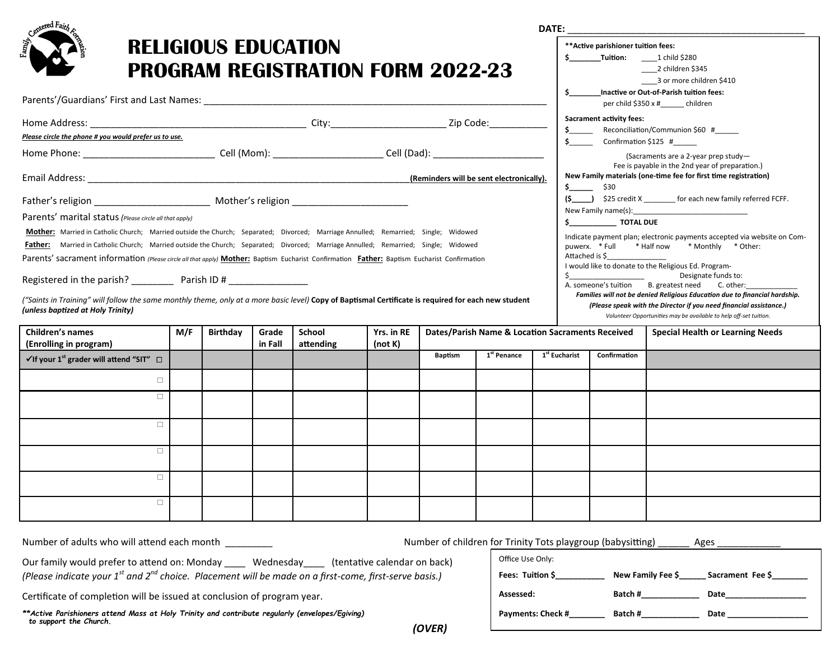| <sub>ster</sub> ed Fair                                                                                                                                                                                                                                                           |     |                 |                  | <b>RELIGIOUS EDUCATION</b><br><b>PROGRAM REGISTRATION FORM 2022-23</b> |                       |                                                  |                                                                                                                                                                                                                                                                                    |                           |                                                 | ** Active parishioner tuition fees: | 3 or more children \$410                                                                                                                                                                                              |
|-----------------------------------------------------------------------------------------------------------------------------------------------------------------------------------------------------------------------------------------------------------------------------------|-----|-----------------|------------------|------------------------------------------------------------------------|-----------------------|--------------------------------------------------|------------------------------------------------------------------------------------------------------------------------------------------------------------------------------------------------------------------------------------------------------------------------------------|---------------------------|-------------------------------------------------|-------------------------------------|-----------------------------------------------------------------------------------------------------------------------------------------------------------------------------------------------------------------------|
|                                                                                                                                                                                                                                                                                   |     |                 |                  |                                                                        |                       |                                                  |                                                                                                                                                                                                                                                                                    |                           |                                                 |                                     | \$ Inactive or Out-of-Parish tuition fees:<br>per child \$350 x #______ children                                                                                                                                      |
| Please circle the phone # you would prefer us to use.                                                                                                                                                                                                                             |     |                 |                  |                                                                        |                       |                                                  |                                                                                                                                                                                                                                                                                    |                           | $\sim$<br>$\mathsf{S}$ . The state $\mathsf{S}$ | <b>Sacrament activity fees:</b>     | Reconciliation/Communion \$60 #<br>Confirmation \$125 #                                                                                                                                                               |
|                                                                                                                                                                                                                                                                                   |     |                 |                  |                                                                        |                       |                                                  |                                                                                                                                                                                                                                                                                    |                           |                                                 |                                     | (Sacraments are a 2-year prep study-<br>Fee is payable in the 2nd year of preparation.)                                                                                                                               |
|                                                                                                                                                                                                                                                                                   |     |                 |                  |                                                                        |                       | (Reminders will be sent electronically).         |                                                                                                                                                                                                                                                                                    |                           |                                                 | $\frac{1}{5}$ \$30                  | New Family materials (one-time fee for first time registration)                                                                                                                                                       |
|                                                                                                                                                                                                                                                                                   |     |                 |                  |                                                                        |                       |                                                  | (\$ _____) \$25 credit X ________ for each new family referred FCFF.<br>New Family name(s): New Family name (s):<br>\$ TOTAL DUE<br>Indicate payment plan; electronic payments accepted via website on Com-<br>puwerx. * Full * Half now * Monthly * Other:<br>Attached is $\zeta$ |                           |                                                 |                                     |                                                                                                                                                                                                                       |
| Parents' marital status (Please circle all that apply)                                                                                                                                                                                                                            |     |                 |                  |                                                                        |                       |                                                  |                                                                                                                                                                                                                                                                                    |                           |                                                 |                                     |                                                                                                                                                                                                                       |
| Mother: Married in Catholic Church; Married outside the Church; Separated; Divorced; Marriage Annulled; Remarried; Single; Widowed                                                                                                                                                |     |                 |                  |                                                                        |                       |                                                  |                                                                                                                                                                                                                                                                                    |                           |                                                 |                                     |                                                                                                                                                                                                                       |
| Father: Married in Catholic Church; Married outside the Church; Separated; Divorced; Marriage Annulled; Remarried; Single; Widowed<br>Parents' sacrament information (Please circle all that apply) Mother: Baptism Eucharist Confirmation Father: Baptism Eucharist Confirmation |     |                 |                  |                                                                        |                       |                                                  |                                                                                                                                                                                                                                                                                    |                           |                                                 |                                     |                                                                                                                                                                                                                       |
| Registered in the parish? ____________ Parish ID # ________________                                                                                                                                                                                                               |     |                 |                  |                                                                        |                       |                                                  |                                                                                                                                                                                                                                                                                    |                           |                                                 |                                     | I would like to donate to the Religious Ed. Program-<br>Designate funds to:<br>A. someone's tuition B. greatest need C. other:                                                                                        |
| ("Saints in Training" will follow the same monthly theme, only at a more basic level) Copy of Baptismal Certificate is required for each new student<br>(unless baptized at Holy Trinity)                                                                                         |     |                 |                  |                                                                        |                       |                                                  |                                                                                                                                                                                                                                                                                    |                           |                                                 |                                     | Families will not be denied Religious Education due to financial hardship.<br>(Please speak with the Director if you need financial assistance.)<br>Volunteer Opportunities may be available to help off-set tuition. |
| <b>Children's names</b><br>(Enrolling in program)                                                                                                                                                                                                                                 | M/F | <b>Birthday</b> | Grade<br>in Fall | School<br>attending                                                    | Yrs. in RE<br>(not K) | Dates/Parish Name & Location Sacraments Received |                                                                                                                                                                                                                                                                                    |                           | <b>Special Health or Learning Needs</b>         |                                     |                                                                                                                                                                                                                       |
| $\checkmark$ If your 1 <sup>st</sup> grader will attend "SIT" $\Box$                                                                                                                                                                                                              |     |                 |                  |                                                                        |                       | <b>Baptism</b>                                   | 1 <sup>st</sup> Penance                                                                                                                                                                                                                                                            | 1 <sup>st</sup> Eucharist |                                                 | Confirmation                        |                                                                                                                                                                                                                       |
| $\Box$                                                                                                                                                                                                                                                                            |     |                 |                  |                                                                        |                       |                                                  |                                                                                                                                                                                                                                                                                    |                           |                                                 |                                     |                                                                                                                                                                                                                       |
| $\Box$                                                                                                                                                                                                                                                                            |     |                 |                  |                                                                        |                       |                                                  |                                                                                                                                                                                                                                                                                    |                           |                                                 |                                     |                                                                                                                                                                                                                       |
| $\Box$                                                                                                                                                                                                                                                                            |     |                 |                  |                                                                        |                       |                                                  |                                                                                                                                                                                                                                                                                    |                           |                                                 |                                     |                                                                                                                                                                                                                       |
| $\Box$                                                                                                                                                                                                                                                                            |     |                 |                  |                                                                        |                       |                                                  |                                                                                                                                                                                                                                                                                    |                           |                                                 |                                     |                                                                                                                                                                                                                       |
| $\Box$                                                                                                                                                                                                                                                                            |     |                 |                  |                                                                        |                       |                                                  |                                                                                                                                                                                                                                                                                    |                           |                                                 |                                     |                                                                                                                                                                                                                       |
| $\Box$                                                                                                                                                                                                                                                                            |     |                 |                  |                                                                        |                       |                                                  |                                                                                                                                                                                                                                                                                    |                           |                                                 |                                     |                                                                                                                                                                                                                       |

*(OVER)*

Number of adults who will attend each month \_\_\_\_\_\_\_\_\_ Number of children for Trinity Tots playgroup (babysitting) \_\_\_\_\_\_ Ages \_\_\_\_\_\_\_\_\_\_\_\_

Our family would prefer to attend on: Monday \_\_\_\_ Wednesday\_\_\_\_ (tentative calendar on back) *(Please indicate your 1st and 2nd choice. Placement will be made on a first-come, first-serve basis.)* 

Certificate of completion will be issued at conclusion of program year.

*\*\*Active Parishioners attend Mass at Holy Trinity and contribute regularly (envelopes/Egiving) to support the Church.*

| Office Use Only:         |         |                                    |
|--------------------------|---------|------------------------------------|
| Fees: Tuition \$         |         | New Family Fee \$ Sacrament Fee \$ |
| Assessed:                | Batch#  | Date                               |
| <b>Payments: Check #</b> | Batch # | Date                               |
|                          |         |                                    |